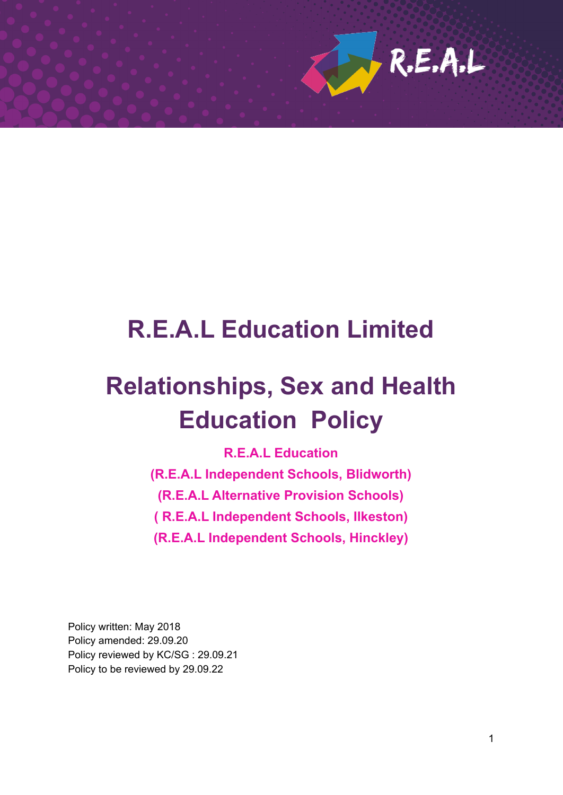

# **R.E.A.L Education Limited**

# **Relationships, Sex and Health Education Policy**

**R.E.A.L Education (R.E.A.L Independent Schools, Blidworth) (R.E.A.L Alternative Provision Schools) ( R.E.A.L Independent Schools, Ilkeston) (R.E.A.L Independent Schools, Hinckley)**

Policy written: May 2018 Policy amended: 29.09.20 Policy reviewed by KC/SG : 29.09.21 Policy to be reviewed by 29.09.22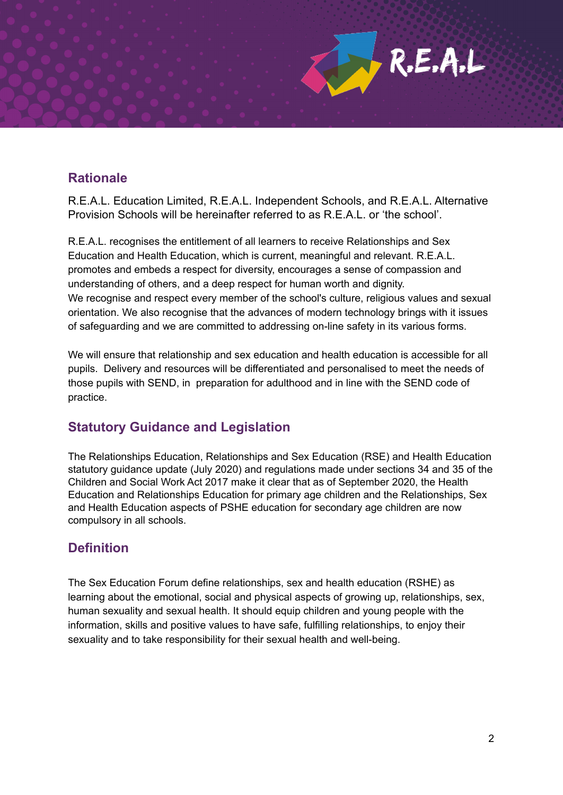

# **Rationale**

R.E.A.L. Education Limited, R.E.A.L. Independent Schools, and R.E.A.L. Alternative Provision Schools will be hereinafter referred to as R.E.A.L. or 'the school'.

R.E.A.L. recognises the entitlement of all learners to receive Relationships and Sex Education and Health Education, which is current, meaningful and relevant. R.E.A.L. promotes and embeds a respect for diversity, encourages a sense of compassion and understanding of others, and a deep respect for human worth and dignity. We recognise and respect every member of the school's culture, religious values and sexual orientation. We also recognise that the advances of modern technology brings with it issues of safeguarding and we are committed to addressing on-line safety in its various forms.

We will ensure that relationship and sex education and health education is accessible for all pupils. Delivery and resources will be differentiated and personalised to meet the needs of those pupils with SEND, in preparation for adulthood and in line with the SEND code of practice.

# **Statutory Guidance and Legislation**

The Relationships Education, Relationships and Sex Education (RSE) and Health Education statutory guidance update (July 2020) and regulations made under sections 34 and 35 of the Children and Social Work Act 2017 make it clear that as of September 2020, the Health Education and Relationships Education for primary age children and the Relationships, Sex and Health Education aspects of PSHE education for secondary age children are now compulsory in all schools.

# **Definition**

The Sex Education Forum define relationships, sex and health education (RSHE) as learning about the emotional, social and physical aspects of growing up, relationships, sex, human sexuality and sexual health. It should equip children and young people with the information, skills and positive values to have safe, fulfilling relationships, to enjoy their sexuality and to take responsibility for their sexual health and well-being.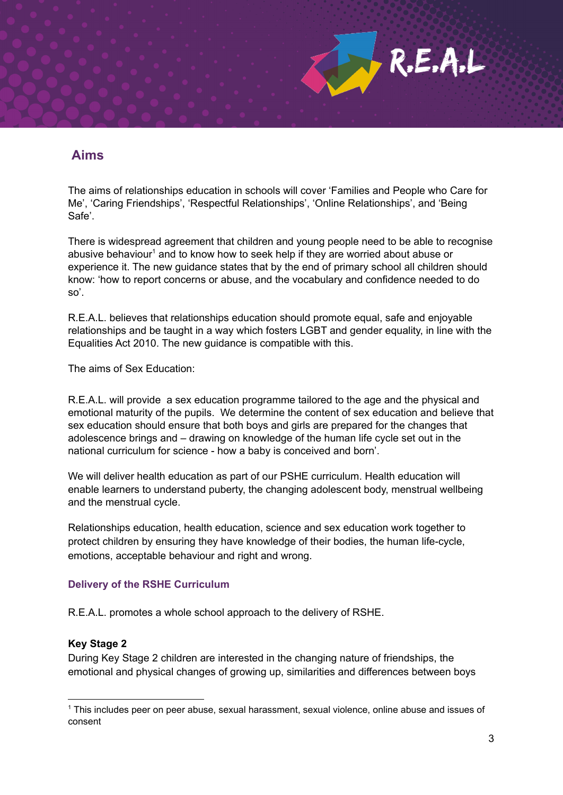

# **Aims**

The aims of relationships education in schools will cover 'Families and People who Care for Me', 'Caring Friendships', 'Respectful Relationships', 'Online Relationships', and 'Being Safe'.

There is widespread agreement that children and young people need to be able to recognise abusive behaviour<sup>1</sup> and to know how to seek help if they are worried about abuse or experience it. The new guidance states that by the end of primary school all children should know: 'how to report concerns or abuse, and the vocabulary and confidence needed to do so'.

R.E.A.L. believes that relationships education should promote equal, safe and enjoyable relationships and be taught in a way which fosters LGBT and gender equality, in line with the Equalities Act 2010. The new guidance is compatible with this.

The aims of Sex Education:

R.E.A.L. will provide a sex education programme tailored to the age and the physical and emotional maturity of the pupils. We determine the content of sex education and believe that sex education should ensure that both boys and girls are prepared for the changes that adolescence brings and – drawing on knowledge of the human life cycle set out in the national curriculum for science - how a baby is conceived and born'.

We will deliver health education as part of our PSHE curriculum. Health education will enable learners to understand puberty, the changing adolescent body, menstrual wellbeing and the menstrual cycle.

Relationships education, health education, science and sex education work together to protect children by ensuring they have knowledge of their bodies, the human life-cycle, emotions, acceptable behaviour and right and wrong.

# **Delivery of the RSHE Curriculum**

R.E.A.L. promotes a whole school approach to the delivery of RSHE.

# **Key Stage 2**

During Key Stage 2 children are interested in the changing nature of friendships, the emotional and physical changes of growing up, similarities and differences between boys

<sup>1</sup> This includes peer on peer abuse, sexual harassment, sexual violence, online abuse and issues of consent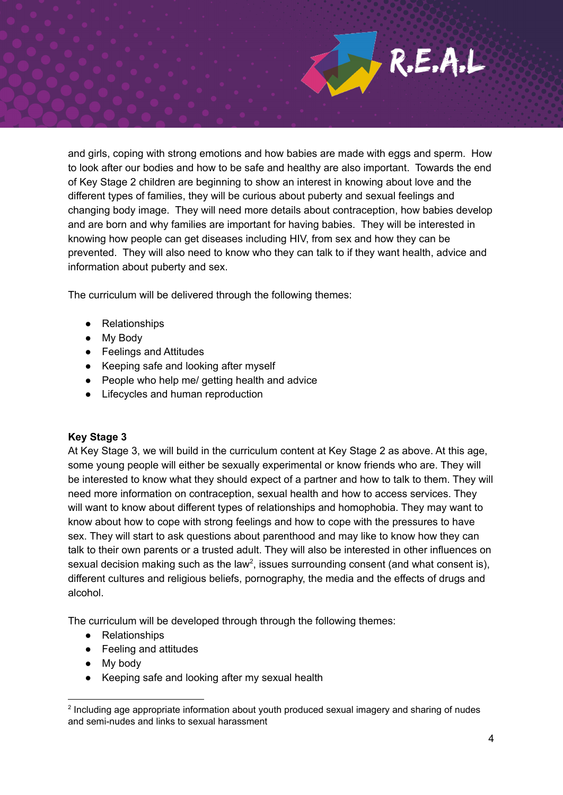

and girls, coping with strong emotions and how babies are made with eggs and sperm. How to look after our bodies and how to be safe and healthy are also important. Towards the end of Key Stage 2 children are beginning to show an interest in knowing about love and the different types of families, they will be curious about puberty and sexual feelings and changing body image. They will need more details about contraception, how babies develop and are born and why families are important for having babies. They will be interested in knowing how people can get diseases including HIV, from sex and how they can be prevented. They will also need to know who they can talk to if they want health, advice and information about puberty and sex.

The curriculum will be delivered through the following themes:

- Relationships
- My Body
- Feelings and Attitudes
- Keeping safe and looking after myself
- People who help me/ getting health and advice
- Lifecycles and human reproduction

# **Key Stage 3**

At Key Stage 3, we will build in the curriculum content at Key Stage 2 as above. At this age, some young people will either be sexually experimental or know friends who are. They will be interested to know what they should expect of a partner and how to talk to them. They will need more information on contraception, sexual health and how to access services. They will want to know about different types of relationships and homophobia. They may want to know about how to cope with strong feelings and how to cope with the pressures to have sex. They will start to ask questions about parenthood and may like to know how they can talk to their own parents or a trusted adult. They will also be interested in other influences on sexual decision making such as the law<sup>2</sup>, issues surrounding consent (and what consent is), different cultures and religious beliefs, pornography, the media and the effects of drugs and alcohol.

The curriculum will be developed through through the following themes:

- Relationships
- Feeling and attitudes
- My body
- Keeping safe and looking after my sexual health

<sup>&</sup>lt;sup>2</sup> Including age appropriate information about youth produced sexual imagery and sharing of nudes and semi-nudes and links to sexual harassment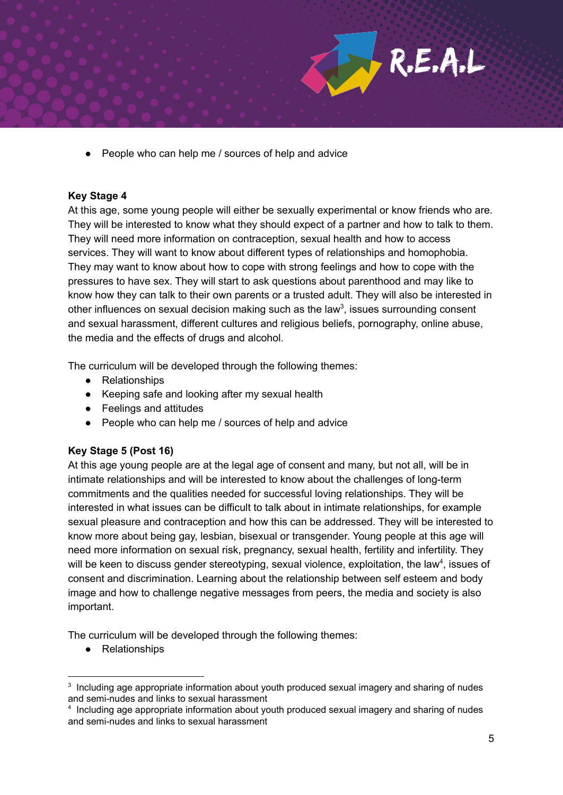

People who can help me / sources of help and advice

## **Key Stage 4**

At this age, some young people will either be sexually experimental or know friends who are. They will be interested to know what they should expect of a partner and how to talk to them. They will need more information on contraception, sexual health and how to access services. They will want to know about different types of relationships and homophobia. They may want to know about how to cope with strong feelings and how to cope with the pressures to have sex. They will start to ask questions about parenthood and may like to know how they can talk to their own parents or a trusted adult. They will also be interested in other influences on sexual decision making such as the law<sup>3</sup>, issues surrounding consent and sexual harassment, different cultures and religious beliefs, pornography, online abuse, the media and the effects of drugs and alcohol.

The curriculum will be developed through the following themes:

- Relationships
- Keeping safe and looking after my sexual health
- Feelings and attitudes
- People who can help me / sources of help and advice

# **Key Stage 5 (Post 16)**

At this age young people are at the legal age of consent and many, but not all, will be in intimate relationships and will be interested to know about the challenges of long-term commitments and the qualities needed for successful loving relationships. They will be interested in what issues can be difficult to talk about in intimate relationships, for example sexual pleasure and contraception and how this can be addressed. They will be interested to know more about being gay, lesbian, bisexual or transgender. Young people at this age will need more information on sexual risk, pregnancy, sexual health, fertility and infertility. They will be keen to discuss gender stereotyping, sexual violence, exploitation, the law<sup>4</sup>, issues of consent and discrimination. Learning about the relationship between self esteem and body image and how to challenge negative messages from peers, the media and society is also important.

The curriculum will be developed through the following themes:

● Relationships

<sup>&</sup>lt;sup>3</sup> Including age appropriate information about youth produced sexual imagery and sharing of nudes and semi-nudes and links to sexual harassment

<sup>&</sup>lt;sup>4</sup> Including age appropriate information about youth produced sexual imagery and sharing of nudes and semi-nudes and links to sexual harassment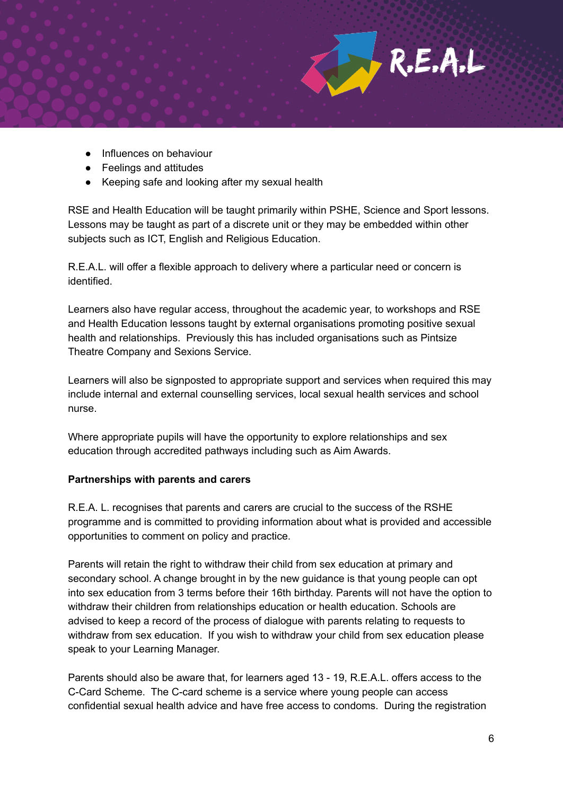

- Influences on behaviour
- Feelings and attitudes
- Keeping safe and looking after my sexual health

RSE and Health Education will be taught primarily within PSHE, Science and Sport lessons. Lessons may be taught as part of a discrete unit or they may be embedded within other subjects such as ICT, English and Religious Education.

R.E.A.L. will offer a flexible approach to delivery where a particular need or concern is identified.

Learners also have regular access, throughout the academic year, to workshops and RSE and Health Education lessons taught by external organisations promoting positive sexual health and relationships. Previously this has included organisations such as Pintsize Theatre Company and Sexions Service.

Learners will also be signposted to appropriate support and services when required this may include internal and external counselling services, local sexual health services and school nurse.

Where appropriate pupils will have the opportunity to explore relationships and sex education through accredited pathways including such as Aim Awards.

# **Partnerships with parents and carers**

R.E.A. L. recognises that parents and carers are crucial to the success of the RSHE programme and is committed to providing information about what is provided and accessible opportunities to comment on policy and practice.

Parents will retain the right to withdraw their child from sex education at primary and secondary school. A change brought in by the new guidance is that young people can opt into sex education from 3 terms before their 16th birthday. Parents will not have the option to withdraw their children from relationships education or health education. Schools are advised to keep a record of the process of dialogue with parents relating to requests to withdraw from sex education. If you wish to withdraw your child from sex education please speak to your Learning Manager.

Parents should also be aware that, for learners aged 13 - 19, R.E.A.L. offers access to the C-Card Scheme. The C-card scheme is a service where young people can access confidential sexual health advice and have free access to condoms. During the registration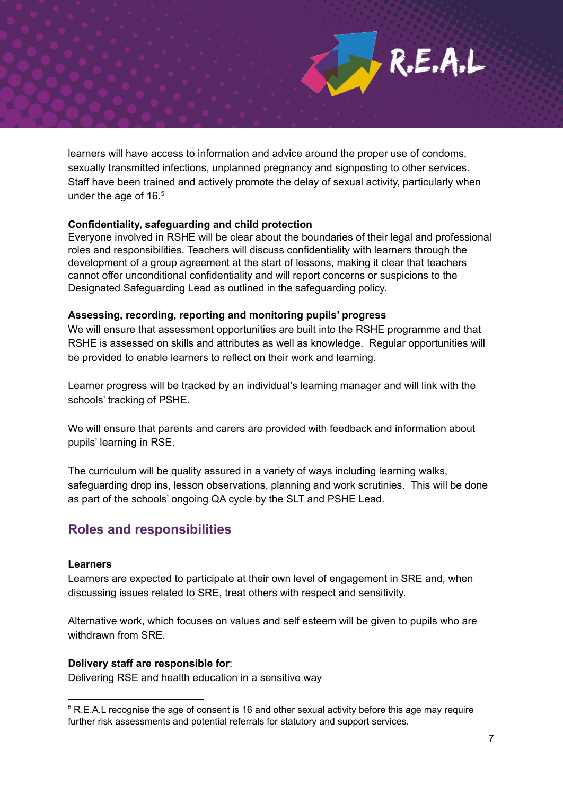

learners will have access to information and advice around the proper use of condoms, sexually transmitted infections, unplanned pregnancy and signposting to other services. Staff have been trained and actively promote the delay of sexual activity, particularly when under the age of 16. 5

# **Confidentiality, safeguarding and child protection**

Everyone involved in RSHE will be clear about the boundaries of their legal and professional roles and responsibilities. Teachers will discuss confidentiality with learners through the development of a group agreement at the start of lessons, making it clear that teachers cannot offer unconditional confidentiality and will report concerns or suspicions to the Designated Safeguarding Lead as outlined in the safeguarding policy.

## **Assessing, recording, reporting and monitoring pupils' progress**

We will ensure that assessment opportunities are built into the RSHE programme and that RSHE is assessed on skills and attributes as well as knowledge. Regular opportunities will be provided to enable learners to reflect on their work and learning.

Learner progress will be tracked by an individual's learning manager and will link with the schools' tracking of PSHE.

We will ensure that parents and carers are provided with feedback and information about pupils' learning in RSE.

The curriculum will be quality assured in a variety of ways including learning walks, safeguarding drop ins, lesson observations, planning and work scrutinies. This will be done as part of the schools' ongoing QA cycle by the SLT and PSHE Lead.

# **Roles and responsibilities**

### **Learners**

Learners are expected to participate at their own level of engagement in SRE and, when discussing issues related to SRE, treat others with respect and sensitivity.

Alternative work, which focuses on values and self esteem will be given to pupils who are withdrawn from SRF

#### **Delivery staff are responsible for**:

Delivering RSE and health education in a sensitive way

<sup>&</sup>lt;sup>5</sup> R.E.A.L recognise the age of consent is 16 and other sexual activity before this age may require further risk assessments and potential referrals for statutory and support services.